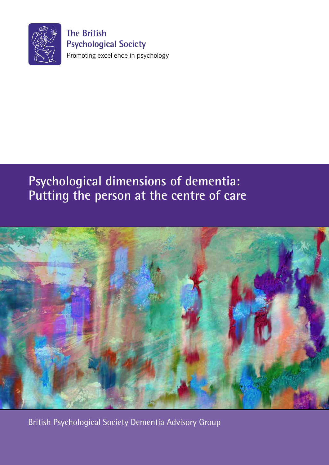

**The British Psychological Society** Promoting excellence in psychology

## **Psychological dimensions of dementia: Putting the person at the centre of care**



British Psychological Society Dementia Advisory Group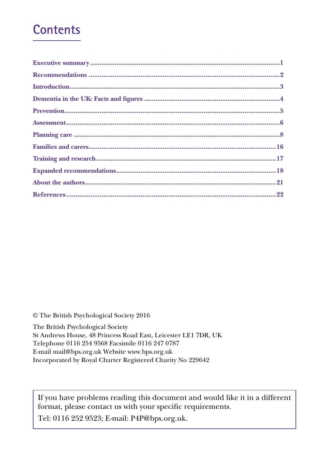## **Contents**

© The British Psychological Society 2016

The British Psychological Society

St Andrews House, 48 Princess Road East, Leicester LE1 7DR, UK

Telephone 0116 254 9568 Facsimile 0116 247 0787

E-mail mail@bps.org.uk Website www.bps.org.uk

Incorporated by Royal Charter Registered Charity No 229642

If you have problems reading this document and would like it in a different format, please contact us with your specific requirements.

Tel: 0116 252 9523; E-mail: P4P@bps.org.uk.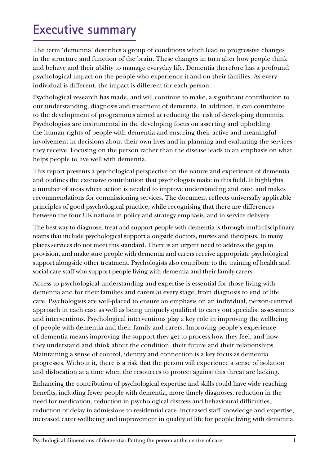# **Executive summary**

The term 'dementia' describes a group of conditions which lead to progressive changes in the structure and function of the brain. These changes in turn alter how people think and behave and their ability to manage everyday life. Dementia therefore has a profound psychological impact on the people who experience it and on their families. As every individual is different, the impact is different for each person.

Psychological research has made, and will continue to make, a significant contribution to our understanding, diagnosis and treatment of dementia. In addition, it can contribute to the development of programmes aimed at reducing the risk of developing dementia. Psychologists are instrumental in the developing focus on asserting and upholding the human rights of people with dementia and ensuring their active and meaningful involvement in decisions about their own lives and in planning and evaluating the services they receive. Focusing on the person rather than the disease leads to an emphasis on what helps people to live well with dementia.

This report presents a psychological perspective on the nature and experience of dementia and outlines the extensive contribution that psychologists make in this field. It highlights a number of areas where action is needed to improve understanding and care, and makes recommendations for commissioning services. The document reflects universally applicable principles of good psychological practice, while recognising that there are differences between the four UK nations in policy and strategy emphasis, and in service delivery.

The best way to diagnose, treat and support people with dementia is through multi-disciplinary teams that include psychological support alongside doctors, nurses and therapists. In many places services do not meet this standard. There is an urgent need to address the gap in provision, and make sure people with dementia and carers receive appropriate psychological support alongside other treatment. Psychologists also contribute to the training of health and social care staff who support people living with dementia and their family carers.

Access to psychological understanding and expertise is essential for those living with dementia and for their families and carers at every stage, from diagnosis to end of life care. Psychologists are well-placed to ensure an emphasis on an individual, person-centred approach in each case as well as being uniquely qualified to carry out specialist assessments and interventions. Psychological interventions play a key role in improving the wellbeing of people with dementia and their family and carers. Improving people's experience of dementia means improving the support they get to process how they feel, and how they understand and think about the condition, their future and their relationships. Maintaining a sense of control, identity and connection is a key focus as dementia progresses. Without it, there is a risk that the person will experience a sense of isolation and dislocation at a time when the resources to protect against this threat are lacking.

Enhancing the contribution of psychological expertise and skills could have wide reaching benefits, including fewer people with dementia, more timely diagnoses, reduction in the need for medication, reduction in psychological distress and behavioural difficulties, reduction or delay in admissions to residential care, increased staff knowledge and expertise, increased carer wellbeing and improvement in quality of life for people living with dementia.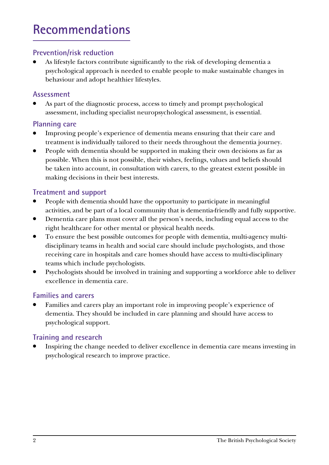# **Recommendations**

## **Prevention/risk reduction**

As lifestyle factors contribute significantly to the risk of developing dementia a psychological approach is needed to enable people to make sustainable changes in behaviour and adopt healthier lifestyles.

### **Assessment**

As part of the diagnostic process, access to timely and prompt psychological assessment, including specialist neuropsychological assessment, is essential.

### **Planning care**

- Improving people's experience of dementia means ensuring that their care and treatment is individually tailored to their needs throughout the dementia journey.
- People with dementia should be supported in making their own decisions as far as possible. When this is not possible, their wishes, feelings, values and beliefs should be taken into account, in consultation with carers, to the greatest extent possible in making decisions in their best interests.

## **Treatment and support**

- People with dementia should have the opportunity to participate in meaningful activities, and be part of a local community that is dementia-friendly and fully supportive.
- Dementia care plans must cover all the person's needs, including equal access to the right healthcare for other mental or physical health needs.
- To ensure the best possible outcomes for people with dementia, multi-agency multidisciplinary teams in health and social care should include psychologists, and those receiving care in hospitals and care homes should have access to multi-disciplinary teams which include psychologists.
- Psychologists should be involved in training and supporting a workforce able to deliver excellence in dementia care.

## **Families and carers**

Families and carers play an important role in improving people's experience of dementia. They should be included in care planning and should have access to psychological support.

## **Training and research**

Inspiring the change needed to deliver excellence in dementia care means investing in psychological research to improve practice.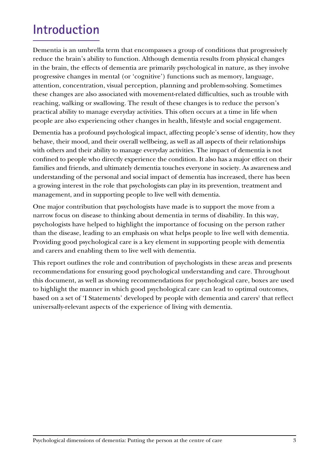# **Introduction**

Dementia is an umbrella term that encompasses a group of conditions that progressively reduce the brain's ability to function. Although dementia results from physical changes in the brain, the effects of dementia are primarily psychological in nature, as they involve progressive changes in mental (or 'cognitive') functions such as memory, language, attention, concentration, visual perception, planning and problem-solving. Sometimes these changes are also associated with movement-related difficulties, such as trouble with reaching, walking or swallowing. The result of these changes is to reduce the person's practical ability to manage everyday activities. This often occurs at a time in life when people are also experiencing other changes in health, lifestyle and social engagement.

Dementia has a profound psychological impact, affecting people's sense of identity, how they behave, their mood, and their overall wellbeing, as well as all aspects of their relationships with others and their ability to manage everyday activities. The impact of dementia is not confined to people who directly experience the condition. It also has a major effect on their families and friends, and ultimately dementia touches everyone in society. As awareness and understanding of the personal and social impact of dementia has increased, there has been a growing interest in the role that psychologists can play in its prevention, treatment and management, and in supporting people to live well with dementia.

One major contribution that psychologists have made is to support the move from a narrow focus on disease to thinking about dementia in terms of disability. In this way, psychologists have helped to highlight the importance of focusing on the person rather than the disease, leading to an emphasis on what helps people to live well with dementia. Providing good psychological care is a key element in supporting people with dementia and carers and enabling them to live well with dementia.

This report outlines the role and contribution of psychologists in these areas and presents recommendations for ensuring good psychological understanding and care. Throughout this document, as well as showing recommendations for psychological care, boxes are used to highlight the manner in which good psychological care can lead to optimal outcomes, based on a set of 'I Statements' developed by people with dementia and carers<sup>1</sup> that reflect universally-relevant aspects of the experience of living with dementia.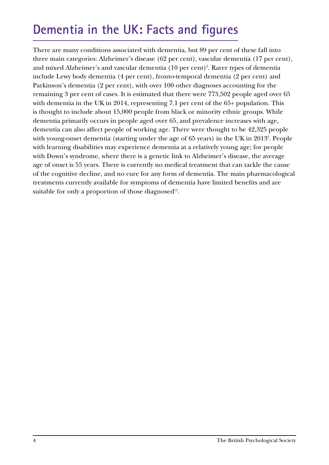# **Dementia in the UK: Facts and figures**

There are many conditions associated with dementia, but 89 per cent of these fall into three main categories: Alzheimer's disease (62 per cent), vascular dementia (17 per cent), and mixed Alzheimer's and vascular dementia (10 per cent)<sup>2</sup>. Rarer types of dementia include Lewy body dementia (4 per cent), fronto-temporal dementia (2 per cent) and Parkinson's dementia (2 per cent), with over 100 other diagnoses accounting for the remaining 3 per cent of cases. It is estimated that there were 773,502 people aged over 65 with dementia in the UK in 2014, representing 7.1 per cent of the 65+ population. This is thought to include about 15,000 people from black or minority ethnic groups. While dementia primarily occurs in people aged over 65, and prevalence increases with age, dementia can also affect people of working age. There were thought to be 42,325 people with young-onset dementia (starting under the age of 65 years) in the UK in 20132 . People with learning disabilities may experience dementia at a relatively young age; for people with Down's syndrome, where there is a genetic link to Alzheimer's disease, the average age of onset is 55 years. There is currently no medical treatment that can tackle the cause of the cognitive decline, and no cure for any form of dementia. The main pharmacological treatments currently available for symptoms of dementia have limited benefits and are suitable for only a proportion of those diagnosed<sup>13</sup>.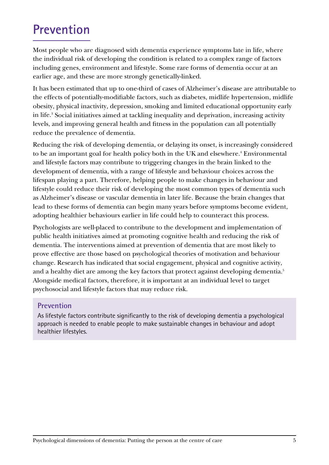# **Prevention**

Most people who are diagnosed with dementia experience symptoms late in life, where the individual risk of developing the condition is related to a complex range of factors including genes, environment and lifestyle. Some rare forms of dementia occur at an earlier age, and these are more strongly genetically-linked.

It has been estimated that up to one-third of cases of Alzheimer's disease are attributable to the effects of potentially-modifiable factors, such as diabetes, midlife hypertension, midlife obesity, physical inactivity, depression, smoking and limited educational opportunity early in life.<sup>3</sup> Social initiatives aimed at tackling inequality and deprivation, increasing activity levels, and improving general health and fitness in the population can all potentially reduce the prevalence of dementia.

Reducing the risk of developing dementia, or delaying its onset, is increasingly considered to be an important goal for health policy both in the UK and elsewhere.<sup>4</sup> Environmental and lifestyle factors may contribute to triggering changes in the brain linked to the development of dementia, with a range of lifestyle and behaviour choices across the lifespan playing a part. Therefore, helping people to make changes in behaviour and lifestyle could reduce their risk of developing the most common types of dementia such as Alzheimer's disease or vascular dementia in later life. Because the brain changes that lead to these forms of dementia can begin many years before symptoms become evident, adopting healthier behaviours earlier in life could help to counteract this process.

Psychologists are well-placed to contribute to the development and implementation of public health initiatives aimed at promoting cognitive health and reducing the risk of dementia. The interventions aimed at prevention of dementia that are most likely to prove effective are those based on psychological theories of motivation and behaviour change. Research has indicated that social engagement, physical and cognitive activity, and a healthy diet are among the key factors that protect against developing dementia.<sup>5</sup> Alongside medical factors, therefore, it is important at an individual level to target psychosocial and lifestyle factors that may reduce risk.

#### **Prevention**

As lifestyle factors contribute significantly to the risk of developing dementia a psychological approach is needed to enable people to make sustainable changes in behaviour and adopt healthier lifestyles.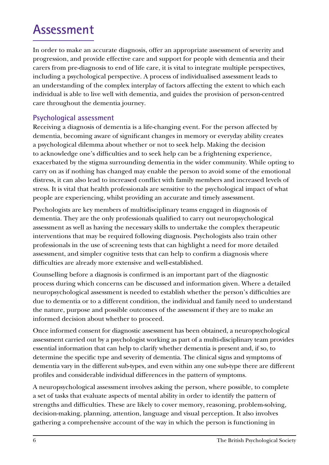# **Assessment**

In order to make an accurate diagnosis, offer an appropriate assessment of severity and progression, and provide effective care and support for people with dementia and their carers from pre-diagnosis to end of life care, it is vital to integrate multiple perspectives, including a psychological perspective. A process of individualised assessment leads to an understanding of the complex interplay of factors affecting the extent to which each individual is able to live well with dementia, and guides the provision of person-centred care throughout the dementia journey.

#### **Psychological assessment**

Receiving a diagnosis of dementia is a life-changing event. For the person affected by dementia, becoming aware of significant changes in memory or everyday ability creates a psychological dilemma about whether or not to seek help. Making the decision to acknowledge one's difficulties and to seek help can be a frightening experience, exacerbated by the stigma surrounding dementia in the wider community. While opting to carry on as if nothing has changed may enable the person to avoid some of the emotional distress, it can also lead to increased conflict with family members and increased levels of stress. It is vital that health professionals are sensitive to the psychological impact of what people are experiencing, whilst providing an accurate and timely assessment.

Psychologists are key members of multidisciplinary teams engaged in diagnosis of dementia. They are the only professionals qualified to carry out neuropsychological assessment as well as having the necessary skills to undertake the complex therapeutic interventions that may be required following diagnosis. Psychologists also train other professionals in the use of screening tests that can highlight a need for more detailed assessment, and simpler cognitive tests that can help to confirm a diagnosis where difficulties are already more extensive and well-established.

Counselling before a diagnosis is confirmed is an important part of the diagnostic process during which concerns can be discussed and information given. Where a detailed neuropsychological assessment is needed to establish whether the person's difficulties are due to dementia or to a different condition, the individual and family need to understand the nature, purpose and possible outcomes of the assessment if they are to make an informed decision about whether to proceed.

Once informed consent for diagnostic assessment has been obtained, a neuropsychological assessment carried out by a psychologist working as part of a multi-disciplinary team provides essential information that can help to clarify whether dementia is present and, if so, to determine the specific type and severity of dementia. The clinical signs and symptoms of dementia vary in the different sub-types, and even within any one sub-type there are different profiles and considerable individual differences in the pattern of symptoms.

A neuropsychological assessment involves asking the person, where possible, to complete a set of tasks that evaluate aspects of mental ability in order to identify the pattern of strengths and difficulties. These are likely to cover memory, reasoning, problem-solving, decision-making, planning, attention, language and visual perception. It also involves gathering a comprehensive account of the way in which the person is functioning in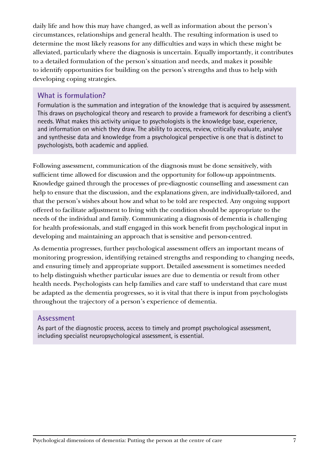daily life and how this may have changed, as well as information about the person's circumstances, relationships and general health. The resulting information is used to determine the most likely reasons for any difficulties and ways in which these might be alleviated, particularly where the diagnosis is uncertain. Equally importantly, it contributes to a detailed formulation of the person's situation and needs, and makes it possible to identify opportunities for building on the person's strengths and thus to help with developing coping strategies.

### **What is formulation?**

Formulation is the summation and integration of the knowledge that is acquired by assessment. This draws on psychological theory and research to provide a framework for describing a client's needs. What makes this activity unique to psychologists is the knowledge base, experience, and information on which they draw. The ability to access, review, critically evaluate, analyse and synthesise data and knowledge from a psychological perspective is one that is distinct to psychologists, both academic and applied.

Following assessment, communication of the diagnosis must be done sensitively, with sufficient time allowed for discussion and the opportunity for follow-up appointments. Knowledge gained through the processes of pre-diagnostic counselling and assessment can help to ensure that the discussion, and the explanations given, are individually-tailored, and that the person's wishes about how and what to be told are respected. Any ongoing support offered to facilitate adjustment to living with the condition should be appropriate to the needs of the individual and family. Communicating a diagnosis of dementia is challenging for health professionals, and staff engaged in this work benefit from psychological input in developing and maintaining an approach that is sensitive and person-centred.

As dementia progresses, further psychological assessment offers an important means of monitoring progression, identifying retained strengths and responding to changing needs, and ensuring timely and appropriate support. Detailed assessment is sometimes needed to help distinguish whether particular issues are due to dementia or result from other health needs. Psychologists can help families and care staff to understand that care must be adapted as the dementia progresses, so it is vital that there is input from psychologists throughout the trajectory of a person's experience of dementia.

#### **Assessment**

As part of the diagnostic process, access to timely and prompt psychological assessment, including specialist neuropsychological assessment, is essential.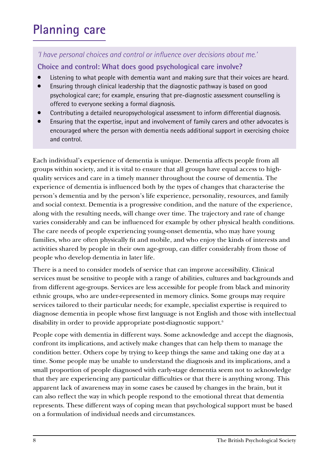# **Planning care**

## *'I have personal choices and control or influence over decisions about me.'*

## **Choice and control: What does good psychological care involve?**

- Listening to what people with dementia want and making sure that their voices are heard.
- Ensuring through clinical leadership that the diagnostic pathway is based on good psychological care; for example, ensuring that pre-diagnostic assessment counselling is offered to everyone seeking a formal diagnosis.
- Contributing a detailed neuropsychological assessment to inform differential diagnosis.
- Ensuring that the expertise, input and involvement of family carers and other advocates is encouraged where the person with dementia needs additional support in exercising choice and control.

Each individual's experience of dementia is unique. Dementia affects people from all groups within society, and it is vital to ensure that all groups have equal access to highquality services and care in a timely manner throughout the course of dementia. The experience of dementia is influenced both by the types of changes that characterise the person's dementia and by the person's life experience, personality, resources, and family and social context. Dementia is a progressive condition, and the nature of the experience, along with the resulting needs, will change over time. The trajectory and rate of change varies considerably and can be influenced for example by other physical health conditions. The care needs of people experiencing young-onset dementia, who may have young families, who are often physically fit and mobile, and who enjoy the kinds of interests and activities shared by people in their own age-group, can differ considerably from those of people who develop dementia in later life.

There is a need to consider models of service that can improve accessibility. Clinical services must be sensitive to people with a range of abilities, cultures and backgrounds and from different age-groups. Services are less accessible for people from black and minority ethnic groups, who are under-represented in memory clinics. Some groups may require services tailored to their particular needs; for example, specialist expertise is required to diagnose dementia in people whose first language is not English and those with intellectual disability in order to provide appropriate post-diagnostic support.<sup>6</sup>

People cope with dementia in different ways. Some acknowledge and accept the diagnosis, confront its implications, and actively make changes that can help them to manage the condition better. Others cope by trying to keep things the same and taking one day at a time. Some people may be unable to understand the diagnosis and its implications, and a small proportion of people diagnosed with early-stage dementia seem not to acknowledge that they are experiencing any particular difficulties or that there is anything wrong. This apparent lack of awareness may in some cases be caused by changes in the brain, but it can also reflect the way in which people respond to the emotional threat that dementia represents. These different ways of coping mean that psychological support must be based on a formulation of individual needs and circumstances.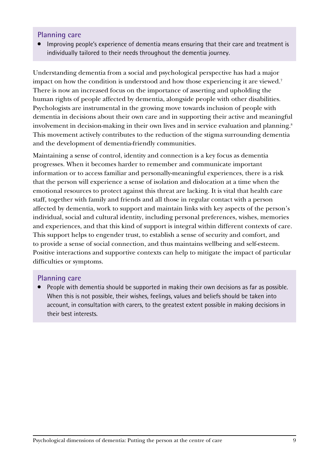#### **Planning care**

Improving people's experience of dementia means ensuring that their care and treatment is individually tailored to their needs throughout the dementia journey.

Understanding dementia from a social and psychological perspective has had a major impact on how the condition is understood and how those experiencing it are viewed.<sup>7</sup> There is now an increased focus on the importance of asserting and upholding the human rights of people affected by dementia, alongside people with other disabilities. Psychologists are instrumental in the growing move towards inclusion of people with dementia in decisions about their own care and in supporting their active and meaningful involvement in decision-making in their own lives and in service evaluation and planning.<sup>8</sup> This movement actively contributes to the reduction of the stigma surrounding dementia and the development of dementia-friendly communities.

Maintaining a sense of control, identity and connection is a key focus as dementia progresses. When it becomes harder to remember and communicate important information or to access familiar and personally-meaningful experiences, there is a risk that the person will experience a sense of isolation and dislocation at a time when the emotional resources to protect against this threat are lacking. It is vital that health care staff, together with family and friends and all those in regular contact with a person affected by dementia, work to support and maintain links with key aspects of the person's individual, social and cultural identity, including personal preferences, wishes, memories and experiences, and that this kind of support is integral within different contexts of care. This support helps to engender trust, to establish a sense of security and comfort, and to provide a sense of social connection, and thus maintains wellbeing and self-esteem. Positive interactions and supportive contexts can help to mitigate the impact of particular difficulties or symptoms.

#### **Planning care**

People with dementia should be supported in making their own decisions as far as possible. When this is not possible, their wishes, feelings, values and beliefs should be taken into account, in consultation with carers, to the greatest extent possible in making decisions in their best interests.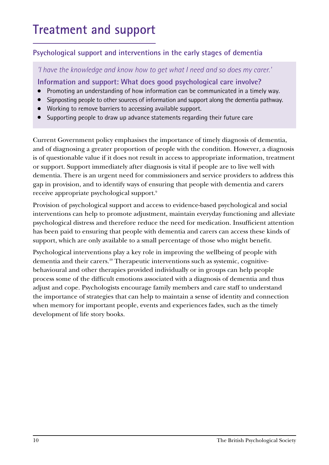## **Treatment and support**

## **Psychological support and interventions in the early stages of dementia**

*'I have the knowledge and know how to get what I need and so does my carer.'*

**Information and support: What does good psychological care involve?** 

- Promoting an understanding of how information can be communicated in a timely way.
- Signposting people to other sources of information and support along the dementia pathway.
- Working to remove barriers to accessing available support.
- Supporting people to draw up advance statements regarding their future care

Current Government policy emphasises the importance of timely diagnosis of dementia, and of diagnosing a greater proportion of people with the condition. However, a diagnosis is of questionable value if it does not result in access to appropriate information, treatment or support. Support immediately after diagnosis is vital if people are to live well with dementia. There is an urgent need for commissioners and service providers to address this gap in provision, and to identify ways of ensuring that people with dementia and carers receive appropriate psychological support.9

Provision of psychological support and access to evidence-based psychological and social interventions can help to promote adjustment, maintain everyday functioning and alleviate psychological distress and therefore reduce the need for medication. Insufficient attention has been paid to ensuring that people with dementia and carers can access these kinds of support, which are only available to a small percentage of those who might benefit.

Psychological interventions play a key role in improving the wellbeing of people with dementia and their carers.<sup>10</sup> Therapeutic interventions such as systemic, cognitivebehavioural and other therapies provided individually or in groups can help people process some of the difficult emotions associated with a diagnosis of dementia and thus adjust and cope. Psychologists encourage family members and care staff to understand the importance of strategies that can help to maintain a sense of identity and connection when memory for important people, events and experiences fades, such as the timely development of life story books.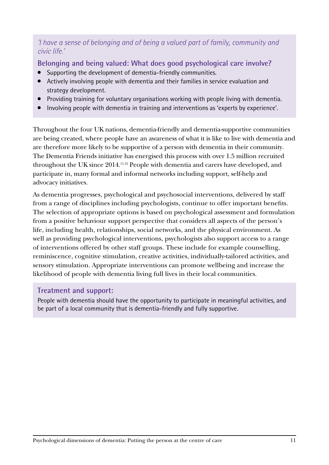### *'I have a sense of belonging and of being a valued part of family, community and civic life.'*

**Belonging and being valued: What does good psychological care involve?** 

- Supporting the development of dementia-friendly communities.
- Actively involving people with dementia and their families in service evaluation and strategy development.
- Providing training for voluntary organisations working with people living with dementia.
- Involving people with dementia in training and interventions as 'experts by experience'.

Throughout the four UK nations, dementia-friendly and dementia-supportive communities are being created, where people have an awareness of what it is like to live with dementia and are therefore more likely to be supportive of a person with dementia in their community. The Dementia Friends initiative has energised this process with over 1.5 million recruited throughout the UK since 2014.11,12 People with dementia and carers have developed, and participate in, many formal and informal networks including support, self-help and advocacy initiatives.

As dementia progresses, psychological and psychosocial interventions, delivered by staff from a range of disciplines including psychologists, continue to offer important benefits. The selection of appropriate options is based on psychological assessment and formulation from a positive behaviour support perspective that considers all aspects of the person's life, including health, relationships, social networks, and the physical environment. As well as providing psychological interventions, psychologists also support access to a range of interventions offered by other staff groups. These include for example counselling, reminiscence, cognitive stimulation, creative activities, individually-tailored activities, and sensory stimulation. Appropriate interventions can promote wellbeing and increase the likelihood of people with dementia living full lives in their local communities.

#### **Treatment and support:**

People with dementia should have the opportunity to participate in meaningful activities, and be part of a local community that is dementia-friendly and fully supportive.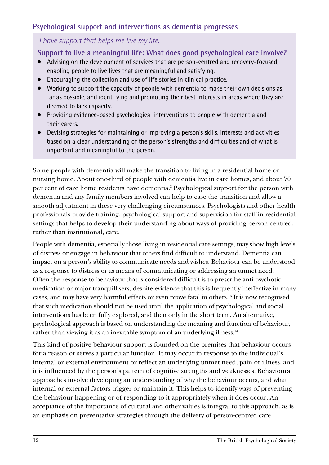## **Psychological support and interventions as dementia progresses**

## *'I have support that helps me live my life.'*

**Support to live a meaningful life: What does good psychological care involve?** 

- Advising on the development of services that are person-centred and recovery-focused, enabling people to live lives that are meaningful and satisfying.
- Encouraging the collection and use of life stories in clinical practice.
- Working to support the capacity of people with dementia to make their own decisions as far as possible, and identifying and promoting their best interests in areas where they are deemed to lack capacity.
- Providing evidence-based psychological interventions to people with dementia and their carers.
- Devising strategies for maintaining or improving a person's skills, interests and activities, based on a clear understanding of the person's strengths and difficulties and of what is important and meaningful to the person.

Some people with dementia will make the transition to living in a residential home or nursing home. About one-third of people with dementia live in care homes, and about 70 per cent of care home residents have dementia.<sup>2</sup> Psychological support for the person with dementia and any family members involved can help to ease the transition and allow a smooth adjustment in these very challenging circumstances. Psychologists and other health professionals provide training, psychological support and supervision for staff in residential settings that helps to develop their understanding about ways of providing person-centred, rather than institutional, care.

People with dementia, especially those living in residential care settings, may show high levels of distress or engage in behaviour that others find difficult to understand. Dementia can impact on a person's ability to communicate needs and wishes. Behaviour can be understood as a response to distress or as means of communicating or addressing an unmet need. Often the response to behaviour that is considered difficult is to prescribe anti-psychotic medication or major tranquillisers, despite evidence that this is frequently ineffective in many cases, and may have very harmful effects or even prove fatal in others.13 It is now recognised that such medication should not be used until the application of psychological and social interventions has been fully explored, and then only in the short term. An alternative, psychological approach is based on understanding the meaning and function of behaviour, rather than viewing it as an inevitable symptom of an underlying illness.<sup>14</sup>

This kind of positive behaviour support is founded on the premises that behaviour occurs for a reason or serves a particular function. It may occur in response to the individual's internal or external environment or reflect an underlying unmet need, pain or illness, and it is influenced by the person's pattern of cognitive strengths and weaknesses. Behavioural approaches involve developing an understanding of why the behaviour occurs, and what internal or external factors trigger or maintain it. This helps to identify ways of preventing the behaviour happening or of responding to it appropriately when it does occur. An acceptance of the importance of cultural and other values is integral to this approach, as is an emphasis on preventative strategies through the delivery of person-centred care.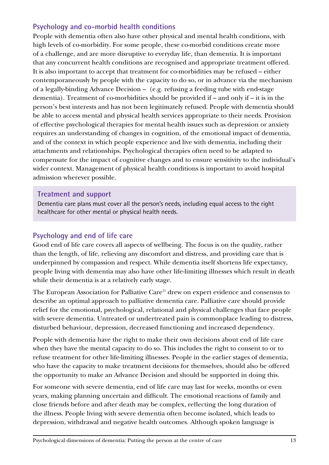### **Psychology and co-morbid health conditions**

People with dementia often also have other physical and mental health conditions, with high levels of co-morbidity. For some people, these co-morbid conditions create more of a challenge, and are more disruptive to everyday life, than dementia. It is important that any concurrent health conditions are recognised and appropriate treatment offered. It is also important to accept that treatment for co-morbidities may be refused – either contemporaneously by people with the capacity to do so, or in advance via the mechanism of a legally-binding Advance Decision – (e.g. refusing a feeding tube with end-stage dementia). Treatment of co-morbidities should be provided if – and only if – it is in the person's best interests and has not been legitimately refused. People with dementia should be able to access mental and physical health services appropriate to their needs. Provision of effective psychological therapies for mental health issues such as depression or anxiety requires an understanding of changes in cognition, of the emotional impact of dementia, and of the context in which people experience and live with dementia, including their attachments and relationships. Psychological therapies often need to be adapted to compensate for the impact of cognitive changes and to ensure sensitivity to the individual's wider context. Management of physical health conditions is important to avoid hospital admission wherever possible.

#### **Treatment and support**

Dementia care plans must cover all the person's needs, including equal access to the right healthcare for other mental or physical health needs.

## **Psychology and end of life care**

Good end of life care covers all aspects of wellbeing. The focus is on the quality, rather than the length, of life, relieving any discomfort and distress, and providing care that is underpinned by compassion and respect. While dementia itself shortens life expectancy, people living with dementia may also have other life-limiting illnesses which result in death while their dementia is at a relatively early stage.

The European Association for Palliative Care<sup>15</sup> drew on expert evidence and consensus to describe an optimal approach to palliative dementia care. Palliative care should provide relief for the emotional, psychological, relational and physical challenges that face people with severe dementia. Untreated or undertreated pain is commonplace leading to distress, disturbed behaviour, depression, decreased functioning and increased dependency.

People with dementia have the right to make their own decisions about end of life care when they have the mental capacity to do so. This includes the right to consent to or to refuse treatment for other life-limiting illnesses. People in the earlier stages of dementia, who have the capacity to make treatment decisions for themselves, should also be offered the opportunity to make an Advance Decision and should be supported in doing this.

For someone with severe dementia, end of life care may last for weeks, months or even years, making planning uncertain and difficult. The emotional reactions of family and close friends before and after death may be complex, reflecting the long duration of the illness. People living with severe dementia often become isolated, which leads to depression, withdrawal and negative health outcomes. Although spoken language is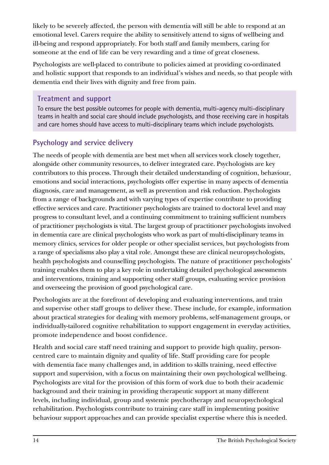likely to be severely affected, the person with dementia will still be able to respond at an emotional level. Carers require the ability to sensitively attend to signs of wellbeing and ill-being and respond appropriately. For both staff and family members, caring for someone at the end of life can be very rewarding and a time of great closeness.

Psychologists are well-placed to contribute to policies aimed at providing co-ordinated and holistic support that responds to an individual's wishes and needs, so that people with dementia end their lives with dignity and free from pain.

## **Treatment and support**

To ensure the best possible outcomes for people with dementia, multi-agency multi-disciplinary teams in health and social care should include psychologists, and those receiving care in hospitals and care homes should have access to multi-disciplinary teams which include psychologists.

## **Psychology and service delivery**

The needs of people with dementia are best met when all services work closely together, alongside other community resources, to deliver integrated care. Psychologists are key contributors to this process. Through their detailed understanding of cognition, behaviour, emotions and social interactions, psychologists offer expertise in many aspects of dementia diagnosis, care and management, as well as prevention and risk reduction. Psychologists from a range of backgrounds and with varying types of expertise contribute to providing effective services and care. Practitioner psychologists are trained to doctoral level and may progress to consultant level, and a continuing commitment to training sufficient numbers of practitioner psychologists is vital. The largest group of practitioner psychologists involved in dementia care are clinical psychologists who work as part of multi-disciplinary teams in memory clinics, services for older people or other specialist services, but psychologists from a range of specialisms also play a vital role. Amongst these are clinical neuropsychologists, health psychologists and counselling psychologists. The nature of practitioner psychologists' training enables them to play a key role in undertaking detailed psychological assessments and interventions, training and supporting other staff groups, evaluating service provision and overseeing the provision of good psychological care.

Psychologists are at the forefront of developing and evaluating interventions, and train and supervise other staff groups to deliver these. These include, for example, information about practical strategies for dealing with memory problems, self-management groups, or individually-tailored cognitive rehabilitation to support engagement in everyday activities, promote independence and boost confidence.

Health and social care staff need training and support to provide high quality, personcentred care to maintain dignity and quality of life. Staff providing care for people with dementia face many challenges and, in addition to skills training, need effective support and supervision, with a focus on maintaining their own psychological wellbeing. Psychologists are vital for the provision of this form of work due to both their academic background and their training in providing therapeutic support at many different levels, including individual, group and systemic psychotherapy and neuropsychological rehabilitation. Psychologists contribute to training care staff in implementing positive behaviour support approaches and can provide specialist expertise where this is needed.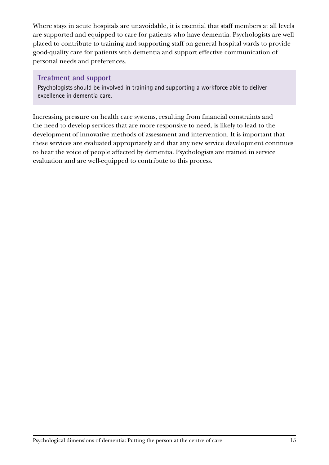Where stays in acute hospitals are unavoidable, it is essential that staff members at all levels are supported and equipped to care for patients who have dementia. Psychologists are wellplaced to contribute to training and supporting staff on general hospital wards to provide good-quality care for patients with dementia and support effective communication of personal needs and preferences.

#### **Treatment and support**

Psychologists should be involved in training and supporting a workforce able to deliver excellence in dementia care.

Increasing pressure on health care systems, resulting from financial constraints and the need to develop services that are more responsive to need, is likely to lead to the development of innovative methods of assessment and intervention. It is important that these services are evaluated appropriately and that any new service development continues to hear the voice of people affected by dementia. Psychologists are trained in service evaluation and are well-equipped to contribute to this process.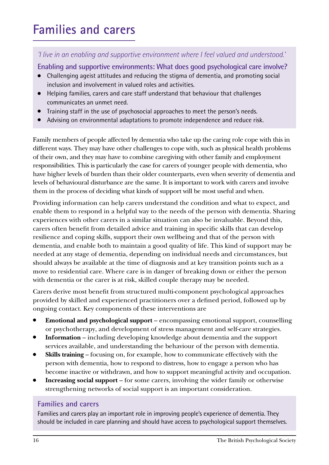# **Families and carers**

## *'I live in an enabling and supportive environment where I feel valued and understood.'*

**Enabling and supportive environments: What does good psychological care involve?** 

- Challenging ageist attitudes and reducing the stigma of dementia, and promoting social inclusion and involvement in valued roles and activities.
- Helping families, carers and care staff understand that behaviour that challenges communicates an unmet need.
- Iraining staff in the use of psychosocial approaches to meet the person's needs.
- Advising on environmental adaptations to promote independence and reduce risk.

Family members of people affected by dementia who take up the caring role cope with this in different ways. They may have other challenges to cope with, such as physical health problems of their own, and they may have to combine caregiving with other family and employment responsibilities. This is particularly the case for carers of younger people with dementia, who have higher levels of burden than their older counterparts, even when severity of dementia and levels of behavioural disturbance are the same. It is important to work with carers and involve them in the process of deciding what kinds of support will be most useful and when.

Providing information can help carers understand the condition and what to expect, and enable them to respond in a helpful way to the needs of the person with dementia. Sharing experiences with other carers in a similar situation can also be invaluable. Beyond this, carers often benefit from detailed advice and training in specific skills that can develop resilience and coping skills, support their own wellbeing and that of the person with dementia, and enable both to maintain a good quality of life. This kind of support may be needed at any stage of dementia, depending on individual needs and circumstances, but should always be available at the time of diagnosis and at key transition points such as a move to residential care. Where care is in danger of breaking down or either the person with dementia or the carer is at risk, skilled couple therapy may be needed.

Carers derive most benefit from structured multi-component psychological approaches provided by skilled and experienced practitioners over a defined period, followed up by ongoing contact. Key components of these interventions are

- **Emotional and psychological support** encompassing emotional support, counselling or psychotherapy, and development of stress management and self-care strategies.
- **Information** including developing knowledge about dementia and the support services available, and understanding the behaviour of the person with dementia.
- **Skills training**  focusing on, for example, how to communicate effectively with the person with dementia, how to respond to distress, how to engage a person who has become inactive or withdrawn, and how to support meaningful activity and occupation.
- **Increasing social support** for some carers, involving the wider family or otherwise strengthening networks of social support is an important consideration.

#### **Families and carers**

Families and carers play an important role in improving people's experience of dementia. They should be included in care planning and should have access to psychological support themselves.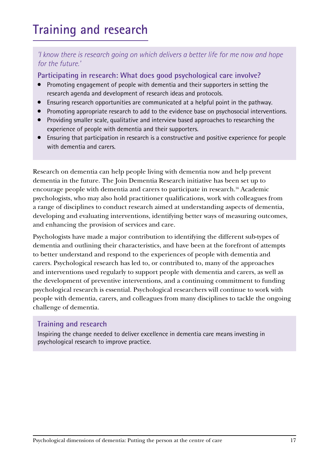# **Training and research**

### *'I know there is research going on which delivers a better life for me now and hope for the future.'*

**Participating in research: What does good psychological care involve?** 

- Promoting engagement of people with dementia and their supporters in setting the research agenda and development of research ideas and protocols.
- Ensuring research opportunities are communicated at a helpful point in the pathway.
- Promoting appropriate research to add to the evidence base on psychosocial interventions.
- Providing smaller scale, qualitative and interview based approaches to researching the experience of people with dementia and their supporters.
- Ensuring that participation in research is a constructive and positive experience for people with dementia and carers.

Research on dementia can help people living with dementia now and help prevent dementia in the future. The Join Dementia Research initiative has been set up to encourage people with dementia and carers to participate in research.16 Academic psychologists, who may also hold practitioner qualifications, work with colleagues from a range of disciplines to conduct research aimed at understanding aspects of dementia, developing and evaluating interventions, identifying better ways of measuring outcomes, and enhancing the provision of services and care.

Psychologists have made a major contribution to identifying the different sub-types of dementia and outlining their characteristics, and have been at the forefront of attempts to better understand and respond to the experiences of people with dementia and carers. Psychological research has led to, or contributed to, many of the approaches and interventions used regularly to support people with dementia and carers, as well as the development of preventive interventions, and a continuing commitment to funding psychological research is essential. Psychological researchers will continue to work with people with dementia, carers, and colleagues from many disciplines to tackle the ongoing challenge of dementia.

## **Training and research**

Inspiring the change needed to deliver excellence in dementia care means investing in psychological research to improve practice.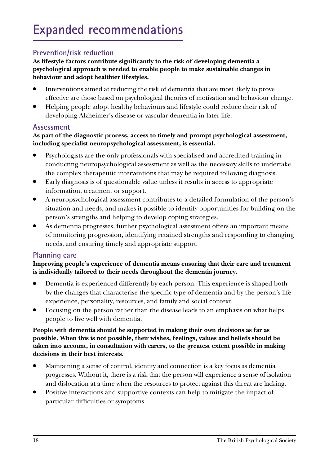## **Prevention/risk reduction**

**As lifestyle factors contribute significantly to the risk of developing dementia a psychological approach is needed to enable people to make sustainable changes in behaviour and adopt healthier lifestyles.** 

- Interventions aimed at reducing the risk of dementia that are most likely to prove effective are those based on psychological theories of motivation and behaviour change.
- Helping people adopt healthy behaviours and lifestyle could reduce their risk of developing Alzheimer's disease or vascular dementia in later life.

#### **Assessment**

#### **As part of the diagnostic process, access to timely and prompt psychological assessment, including specialist neuropsychological assessment, is essential.**

- Psychologists are the only professionals with specialised and accredited training in conducting neuropsychological assessment as well as the necessary skills to undertake the complex therapeutic interventions that may be required following diagnosis.
- Early diagnosis is of questionable value unless it results in access to appropriate information, treatment or support.
- A neuropsychological assessment contributes to a detailed formulation of the person's situation and needs, and makes it possible to identify opportunities for building on the person's strengths and helping to develop coping strategies.
- As dementia progresses, further psychological assessment offers an important means of monitoring progression, identifying retained strengths and responding to changing needs, and ensuring timely and appropriate support.

#### **Planning care**

#### **Improving people's experience of dementia means ensuring that their care and treatment is individually tailored to their needs throughout the dementia journey.**

- Dementia is experienced differently by each person. This experience is shaped both by the changes that characterise the specific type of dementia and by the person's life experience, personality, resources, and family and social context.
- Focusing on the person rather than the disease leads to an emphasis on what helps people to live well with dementia.

#### **People with dementia should be supported in making their own decisions as far as possible. When this is not possible, their wishes, feelings, values and beliefs should be taken into account, in consultation with carers, to the greatest extent possible in making decisions in their best interests.**

- Maintaining a sense of control, identity and connection is a key focus as dementia progresses. Without it, there is a risk that the person will experience a sense of isolation and dislocation at a time when the resources to protect against this threat are lacking.
- Positive interactions and supportive contexts can help to mitigate the impact of particular difficulties or symptoms.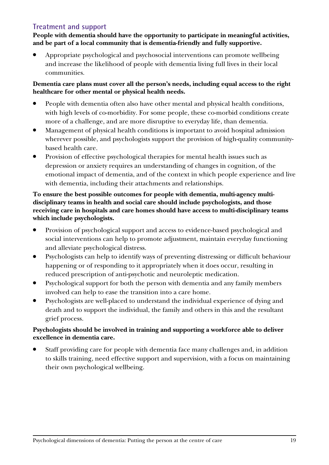## **Treatment and support**

**People with dementia should have the opportunity to participate in meaningful activities, and be part of a local community that is dementia-friendly and fully supportive.**

Appropriate psychological and psychosocial interventions can promote wellbeing and increase the likelihood of people with dementia living full lives in their local communities.

#### **Dementia care plans must cover all the person's needs, including equal access to the right healthcare for other mental or physical health needs.**

- People with dementia often also have other mental and physical health conditions, with high levels of co-morbidity. For some people, these co-morbid conditions create more of a challenge, and are more disruptive to everyday life, than dementia.
- Management of physical health conditions is important to avoid hospital admission wherever possible, and psychologists support the provision of high-quality communitybased health care.
- Provision of effective psychological therapies for mental health issues such as depression or anxiety requires an understanding of changes in cognition, of the emotional impact of dementia, and of the context in which people experience and live with dementia, including their attachments and relationships.

#### **To ensure the best possible outcomes for people with dementia, multi-agency multidisciplinary teams in health and social care should include psychologists, and those receiving care in hospitals and care homes should have access to multi-disciplinary teams which include psychologists.**

- Provision of psychological support and access to evidence-based psychological and social interventions can help to promote adjustment, maintain everyday functioning and alleviate psychological distress.
- Psychologists can help to identify ways of preventing distressing or difficult behaviour happening or of responding to it appropriately when it does occur, resulting in reduced prescription of anti-psychotic and neuroleptic medication.
- Psychological support for both the person with dementia and any family members involved can help to ease the transition into a care home.
- Psychologists are well-placed to understand the individual experience of dying and death and to support the individual, the family and others in this and the resultant grief process.

#### **Psychologists should be involved in training and supporting a workforce able to deliver excellence in dementia care.**

Staff providing care for people with dementia face many challenges and, in addition to skills training, need effective support and supervision, with a focus on maintaining their own psychological wellbeing.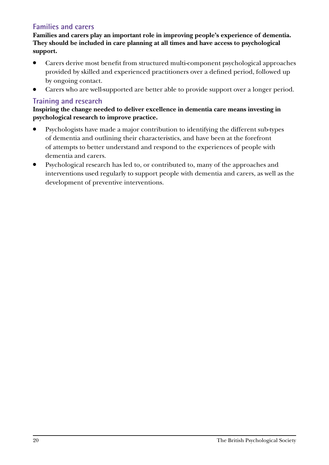## **Families and carers**

**Families and carers play an important role in improving people's experience of dementia. They should be included in care planning at all times and have access to psychological support.**

- Carers derive most benefit from structured multi-component psychological approaches provided by skilled and experienced practitioners over a defined period, followed up by ongoing contact.
- Carers who are well-supported are better able to provide support over a longer period.

## **Training and research**

**Inspiring the change needed to deliver excellence in dementia care means investing in psychological research to improve practice.** 

- Psychologists have made a major contribution to identifying the different sub-types of dementia and outlining their characteristics, and have been at the forefront of attempts to better understand and respond to the experiences of people with dementia and carers.
- Psychological research has led to, or contributed to, many of the approaches and interventions used regularly to support people with dementia and carers, as well as the development of preventive interventions.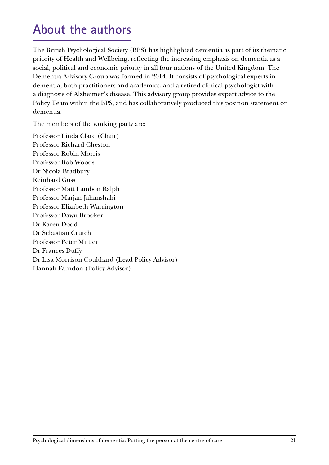## **About the authors**

The British Psychological Society (BPS) has highlighted dementia as part of its thematic priority of Health and Wellbeing, reflecting the increasing emphasis on dementia as a social, political and economic priority in all four nations of the United Kingdom. The Dementia Advisory Group was formed in 2014. It consists of psychological experts in dementia, both practitioners and academics, and a retired clinical psychologist with a diagnosis of Alzheimer's disease. This advisory group provides expert advice to the Policy Team within the BPS, and has collaboratively produced this position statement on dementia.

The members of the working party are:

Professor Linda Clare (Chair) Professor Richard Cheston Professor Robin Morris Professor Bob Woods Dr Nicola Bradbury Reinhard Guss Professor Matt Lambon Ralph Professor Marjan Jahanshahi Professor Elizabeth Warrington Professor Dawn Brooker Dr Karen Dodd Dr Sebastian Crutch Professor Peter Mittler Dr Frances Duffy Dr Lisa Morrison Coulthard (Lead Policy Advisor) Hannah Farndon (Policy Advisor)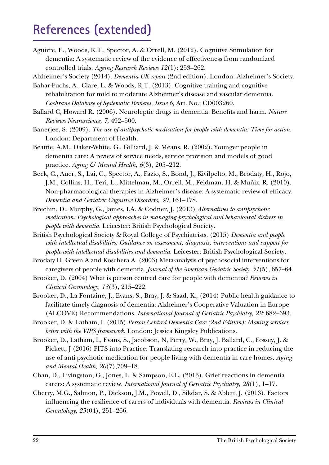## **References (extended)**

Aguirre, E., Woods, R.T., Spector, A. & Orrell, M. (2012). Cognitive Stimulation for dementia: A systematic review of the evidence of effectiveness from randomized controlled trials. *Ageing Research Reviews 12*(1): 253–262.

Alzheimer's Society (2014). *Dementia UK report* (2nd edition). London: Alzheimer's Society.

- Bahar-Fuchs, A., Clare, L. & Woods, R.T. (2013). Cognitive training and cognitive rehabilitation for mild to moderate Alzheimer's disease and vascular dementia. *Cochrane Database of Systematic Reviews, Issue 6,* Art. No.: CD003260.
- Ballard C, Howard R. (2006). Neuroleptic drugs in dementia: Benefits and harm. *Nature Reviews Neuroscience, 7,* 492–500.
- Banerjee, S. (2009). *The use of antipsychotic medication for people with dementia: Time for action.* London: Department of Health.
- Beattie, A.M., Daker-White, G., Gilliard, J. & Means, R. (2002). Younger people in dementia care: A review of service needs, service provision and models of good practice. *Aging & Mental Health, 6*(3), 205–212.
- Beck, C., Auer, S., Lai, C., Spector, A., Fazio, S., Bond, J., Kivilpelto, M., Brodaty, H., Rojo, J.M., Collins, H., Teri, L., Mittelman, M., Orrell, M., Feldman, H. & Muñiz, R. (2010). Non-pharmacological therapies in Alzheimer's disease: A systematic review of efficacy. *Dementia and Geriatric Cognitive Disorders, 30,* 161–178.
- Brechin, D., Murphy, G., James, I.A. & Codner, J. (2013) *Alternatives to antipsychotic medication: Psychological approaches in managing psychological and behavioural distress in people with dementia.* Leicester: British Psychological Society.
- British Psychological Society & Royal College of Psychiatrists. (2015) *Dementia and people with intellectual disabilities: Guidance on assessment, diagnosis, interventions and support for people with intellectual disabilities and dementia.* Leicester: British Psychological Society.
- Brodaty H, Green A and Koschera A. (2003) Meta-analysis of psychosocial interventions for caregivers of people with dementia. *Journal of the American Geriatric Society, 51*(5), 657–64.
- Brooker, D. (2004) What is person centred care for people with dementia? *Reviews in Clinical Gerontology, 13*(3), 215–222.
- Brooker, D., La Fontaine, J., Evans, S., Bray, J. & Saad, K., (2014) Public health guidance to facilitate timely diagnosis of dementia: Alzheimer's Cooperative Valuation in Europe (ALCOVE) Recommendations. *International Journal of Geriatric Psychiatry*, 29:682-693.
- Brooker, D. & Latham, I. (2015) *Person Centred Dementia Care (2nd Edition): Making services better with the VIPS framework*. London: Jessica Kingsley Publications.
- Brooker, D., Latham, I., Evans, S., Jacobson, N, Perry, W., Bray, J. Ballard, C., Fossey, J. & Pickett, J (2016) FITS into Practice: Translating research into practice in reducing the use of anti-psychotic medication for people living with dementia in care homes. *Aging and Mental Health, 20*(7),709–18.
- Chan, D., Livingston, G., Jones, L. & Sampson, E.L. (2013). Grief reactions in dementia carers: A systematic review. *International Journal of Geriatric Psychiatry, 28*(1), 1–17.
- Cherry, M.G., Salmon, P., Dickson, J.M., Powell, D., Sikdar, S. & Ablett, J. (2013). Factors influencing the resilience of carers of individuals with dementia. *Reviews in Clinical Gerontology, 23*(04), 251–266.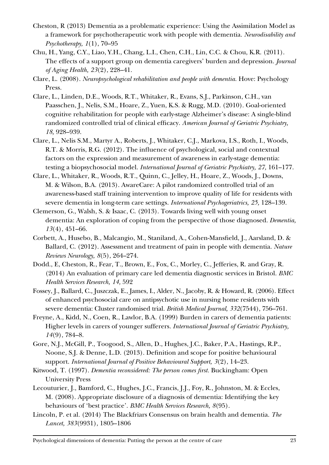- Cheston, R (2013) Dementia as a problematic experience: Using the Assimilation Model as a framework for psychotherapeutic work with people with dementia. *Neurodisability and Psychotherapy, 1*(1), 70–95
- Chu, H., Yang, C.Y., Liao, Y.H., Chang, L.I., Chen, C.H., Lin, C.C. & Chou, K.R. (2011). The effects of a support group on dementia caregivers' burden and depression. *Journal of Aging Health, 23*(2), 228–41.
- Clare, L. (2008). *Neuropsychological rehabilitation and people with dementia.* Hove: Psychology Press.
- Clare, L., Linden, D.E., Woods, R.T., Whitaker, R., Evans, S.J., Parkinson, C.H., van Paasschen, J., Nelis, S.M., Hoare, Z., Yuen, K.S. & Rugg, M.D. (2010). Goal-oriented cognitive rehabilitation for people with early-stage Alzheimer's disease: A single-blind randomized controlled trial of clinical efficacy. *American Journal of Geriatric Psychiatry, 18,* 928–939.
- Clare, L., Nelis S.M., Martyr A., Roberts, J., Whitaker, C.J., Markova, I.S., Roth, I., Woods, R.T. & Morris, R.G. (2012). The influence of psychological, social and contextual factors on the expression and measurement of awareness in early-stage dementia: testing a biopsychosocial model. *International Journal of Geriatric Psychiatry, 27,* 161–177.
- Clare, L., Whitaker, R., Woods, R.T., Quinn, C., Jelley, H., Hoare, Z., Woods, J., Downs, M. & Wilson, B.A. (2013). AwareCare: A pilot randomized controlled trial of an awareness-based staff training intervention to improve quality of life for residents with severe dementia in long-term care settings. *International Psychogeriatrics, 25,* 128–139.
- Clemerson, G., Walsh, S. & Isaac, C. (2013). Towards living well with young onset dementia: An exploration of coping from the perspective of those diagnosed. *Dementia, 13*(4), 451–66.
- Corbett, A., Husebo, B., Malcangio, M., Staniland, A., Cohen-Mansfield, J., Aarsland, D. & Ballard, C. (2012). Assessment and treatment of pain in people with dementia. *Nature Reviews Neurology, 8*(5), 264–274.
- Dodd., E, Cheston, R., Fear, T., Brown, E., Fox, C., Morley, C., Jefferies, R. and Gray, R. (2014) An evaluation of primary care led dementia diagnostic services in Bristol. *BMC Health Services Research, 14,* 592
- Fossey, J., Ballard, C., Juszczak, E., James, I., Alder, N., Jacoby, R. & Howard, R. (2006). Effect of enhanced psychosocial care on antipsychotic use in nursing home residents with severe dementia: Cluster randomised trial. *British Medical Journal, 332*(7544), 756–761.
- Freyne, A., Kidd, N., Coen, R., Lawlor, B.A. (1999) Burden in carers of dementia patients: Higher levels in carers of younger sufferers. *International Journal of Geriatric Psychiatry, 14*(9), 784–8.
- Gore, N.J., McGill, P., Toogood, S., Allen, D., Hughes, J.C., Baker, P.A., Hastings, R.P., Noone, S.J. & Denne, L.D. (2013). Definition and scope for positive behavioural support. *International Journal of Positive Behavioural Support, 3*(2), 14–23.
- Kitwood, T. (1997). *Dementia reconsidered: The person comes first.* Buckingham: Open University Press
- Lecouturier, J., Bamford, C., Hughes, J.C., Francis, J.J., Foy, R., Johnston, M. & Eccles, M. (2008). Appropriate disclosure of a diagnosis of dementia: Identifying the key behaviours of 'best practice'. *BMC Health Services Research, 8*(95).
- Lincoln, P. et al. (2014) The Blackfriars Consensus on brain health and dementia. *The Lancet, 383*(9931), 1805–1806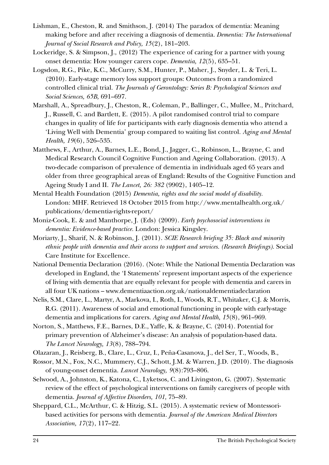- Lishman, E., Cheston, R. and Smithson, J. (2014) The paradox of dementia: Meaning making before and after receiving a diagnosis of dementia. *Dementia: The International Journal of Social Research and Policy, 15*(2), 181–203.
- Lockeridge, S. & Simpson, J., (2012) The experience of caring for a partner with young onset dementia: How younger carers cope. *Dementia, 12*(5), 635–51.
- Logsdon, R.G., Pike, K.C., McCurry, S.M., Hunter, P., Maher, J., Snyder, L. & Teri, L. (2010). Early-stage memory loss support groups: Outcomes from a randomized controlled clinical trial. *The Journals of Gerontology: Series B: Psychological Sciences and Social Sciences, 65B,* 691–697.
- Marshall, A., Spreadbury, J., Cheston, R., Coleman, P., Ballinger, C., Mullee, M., Pritchard, J., Russell, C. and Bartlett, E. (2015). A pilot randomised control trial to compare changes in quality of life for participants with early diagnosis dementia who attend a 'Living Well with Dementia' group compared to waiting list control. *Aging and Mental Health, 19*(6), 526–535.
- Matthews, F., Arthur, A., Barnes, L.E., Bond, J., Jagger, C., Robinson, L., Brayne, C. and Medical Research Council Cognitive Function and Ageing Collaboration. (2013). A two-decade comparison of prevalence of dementia in individuals aged 65 years and older from three geographical areas of England: Results of the Cognitive Function and Ageing Study I and II. *The Lancet, 26: 382* (9902), 1405–12.
- Mental Health Foundation (2015) *Dementia, rights and the social model of disability.*  London: MHF. Retrieved 18 October 2015 from http://www.mentalhealth.org.uk/ publications/dementia-rights-report/
- Moniz-Cook, E. & and Manthorpe, J. (Eds) (2009). *Early psychosocial interventions in dementia: Evidence-based practice.* London: Jessica Kingsley.
- Moriarty, J., Sharif, N. & Robinson, J. (2011). *SCIE Research briefing 35: Black and minority ethnic people with dementia and their access to support and services. (Research Briefings).* Social Care Institute for Excellence.
- National Dementia Declaration (2016). (Note: While the National Dementia Declaration was developed in England, the 'I Statements' represent important aspects of the experience of living with dementia that are equally relevant for people with dementia and carers in all four UK nations – www.dementiaaction.org.uk/nationaldementiadeclaration
- Nelis, S.M., Clare, L., Martyr, A., Markova, I., Roth, I., Woods, R.T., Whitaker, C.J. & Morris, R.G. (2011). Awareness of social and emotional functioning in people with early-stage dementia and implications for carers. *Aging and Mental Health, 15*(8), 961–969.
- Norton, S., Matthews, F.E., Barnes, D.E., Yaffe, K. & Brayne, C. (2014). Potential for primary prevention of Alzheimer's disease: An analysis of population-based data. *The Lancet Neurology, 13*(8), 788–794.
- Olazaran, J., Reisberg, B., Clare, L., Cruz, I., Peña-Casanova, J., del Ser, T., Woods, B.,
- Rossor, M.N., Fox, N.C., Mummery, C.J., Schott, J.M. & Warren, J.D. (2010). The diagnosis of young-onset dementia. *Lancet Neurology, 9*(8):793–806.
- Selwood, A., Johnston, K., Katona, C., Lyketsos, C. and Livingston, G. (2007). Systematic review of the effect of psychological interventions on family caregivers of people with dementia. *Journal of Affective Disorders, 101,* 75–89.
- Sheppard, C.L., McArthur, C. & Hitzig, S.L. (2015). A systematic review of Montessoribased activities for persons with dementia*. Journal of the American Medical Directors Association, 17*(2), 117–22.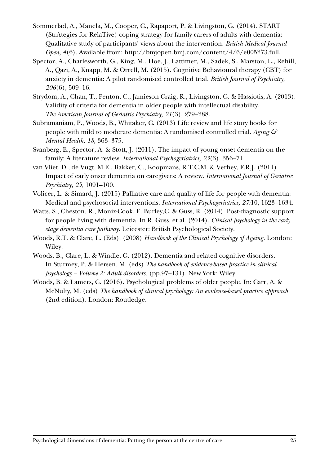- Sommerlad, A., Manela, M., Cooper, C., Rapaport, P. & Livingston, G. (2014). START (StrAtegies for RelaTive) coping strategy for family carers of adults with dementia: Qualitative study of participants' views about the intervention. *British Medical Journal Open, 4*(6). Available from: http://bmjopen.bmj.com/content/4/6/e005273.full.
- Spector, A., Charlesworth, G., King, M., Hoe, J., Lattimer, M., Sadek, S., Marston, L., Rehill, A., Qazi, A., Knapp, M. & Orrell, M. (2015). Cognitive Behavioural therapy (CBT) for anxiety in dementia: A pilot randomised controlled trial. *British Journal of Psychiatry, 206*(6), 509–16.
- Strydom, A., Chan, T., Fenton, C., Jamieson-Craig, R., Livingston, G. & Hassiotis, A. (2013). Validity of criteria for dementia in older people with intellectual disability. *The American Journal of Geriatric Psychiatry, 21*(3), 279–288.
- Subramaniam, P., Woods, B., Whitaker, C. (2013) Life review and life story books for people with mild to moderate dementia: A randomised controlled trial. *Aging & Mental Health, 18,* 363–375.
- Svanberg, E., Spector, A. & Stott, J. (2011). The impact of young onset dementia on the family: A literature review. *International Psychogeriatrics, 23*(3), 356–71.
- van Vliet, D., de Vugt, M.E., Bakker, C., Koopmans, R.T.C.M. & Verhey, F.R.J. (2011) Impact of early onset dementia on caregivers: A review. *International Journal of Geriatric Psychiatry, 25,* 1091–100.
- Volicer, L. & Simard, J. (2015) Palliative care and quality of life for people with dementia: Medical and psychosocial interventions. *International Psychogeriatrics, 27:*10, 1623–1634.
- Watts, S., Cheston, R., Moniz-Cook, E. Burley,C. & Guss, R. (2014). Post-diagnostic support for people living with dementia. In R. Guss, et al. (2014). *Clinical psychology in the early stage dementia care pathway.* Leicester: British Psychological Society.
- Woods, R.T. & Clare, L. (Eds). (2008) *Handbook of the Clinical Psychology of Ageing.* London: Wiley.
- Woods, B., Clare, L. & Windle, G. (2012). Dementia and related cognitive disorders. In Sturmey, P. & Hersen, M. (eds) *The handbook of evidence-based practice in clinical psychology – Volume 2: Adult disorders.* (pp.97–131). New York: Wiley.
- Woods, B. & Lamers, C. (2016). Psychological problems of older people. In: Carr, A. & McNulty, M. (eds) *The handbook of clinical psychology: An evidence-based practice approach*  (2nd edition). London: Routledge.